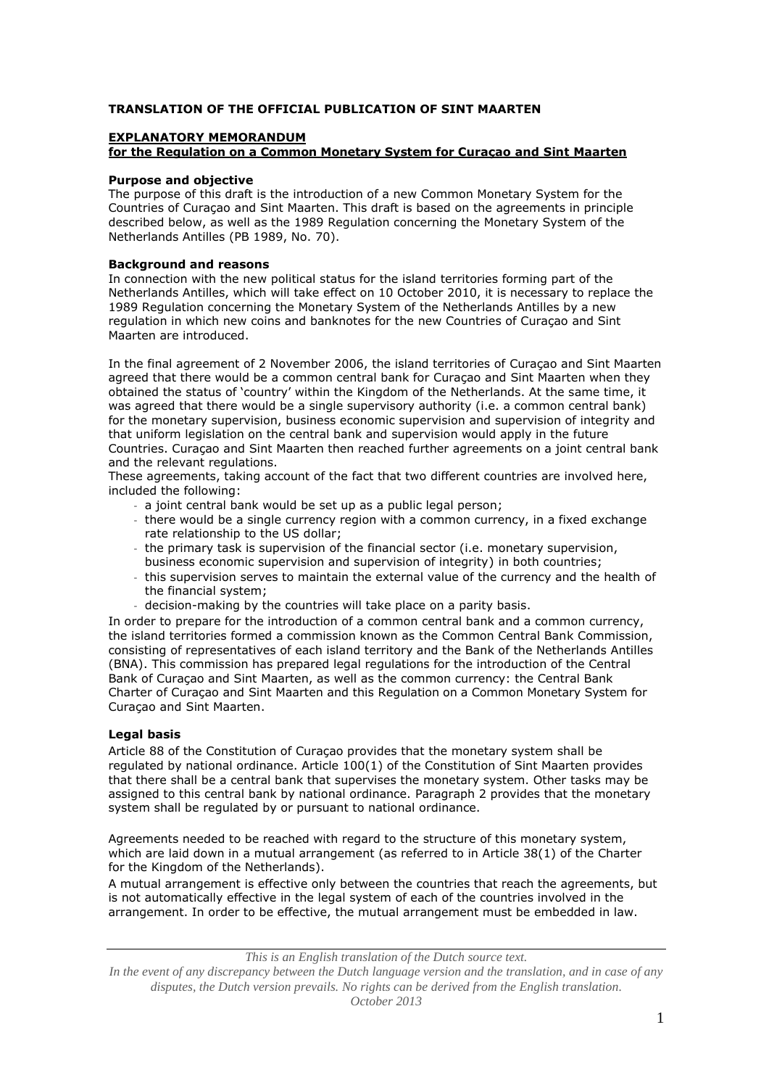# **TRANSLATION OF THE OFFICIAL PUBLICATION OF SINT MAARTEN**

# **EXPLANATORY MEMORANDUM**

# **for the Regulation on a Common Monetary System for Curaçao and Sint Maarten**

# **Purpose and objective**

The purpose of this draft is the introduction of a new Common Monetary System for the Countries of Curaçao and Sint Maarten. This draft is based on the agreements in principle described below, as well as the 1989 Regulation concerning the Monetary System of the Netherlands Antilles (PB 1989, No. 70).

## **Background and reasons**

In connection with the new political status for the island territories forming part of the Netherlands Antilles, which will take effect on 10 October 2010, it is necessary to replace the 1989 Regulation concerning the Monetary System of the Netherlands Antilles by a new regulation in which new coins and banknotes for the new Countries of Curaçao and Sint Maarten are introduced.

In the final agreement of 2 November 2006, the island territories of Curaçao and Sint Maarten agreed that there would be a common central bank for Curaçao and Sint Maarten when they obtained the status of 'country' within the Kingdom of the Netherlands. At the same time, it was agreed that there would be a single supervisory authority (i.e. a common central bank) for the monetary supervision, business economic supervision and supervision of integrity and that uniform legislation on the central bank and supervision would apply in the future Countries. Curaçao and Sint Maarten then reached further agreements on a joint central bank and the relevant regulations.

These agreements, taking account of the fact that two different countries are involved here, included the following:

- a joint central bank would be set up as a public legal person;
- there would be a single currency region with a common currency, in a fixed exchange rate relationship to the US dollar;
- the primary task is supervision of the financial sector (i.e. monetary supervision, business economic supervision and supervision of integrity) in both countries;
- this supervision serves to maintain the external value of the currency and the health of the financial system;
- decision-making by the countries will take place on a parity basis.

In order to prepare for the introduction of a common central bank and a common currency, the island territories formed a commission known as the Common Central Bank Commission, consisting of representatives of each island territory and the Bank of the Netherlands Antilles (BNA). This commission has prepared legal regulations for the introduction of the Central Bank of Curaçao and Sint Maarten, as well as the common currency: the Central Bank Charter of Curaçao and Sint Maarten and this Regulation on a Common Monetary System for Curaçao and Sint Maarten.

### **Legal basis**

Article 88 of the Constitution of Curaçao provides that the monetary system shall be regulated by national ordinance. Article 100(1) of the Constitution of Sint Maarten provides that there shall be a central bank that supervises the monetary system. Other tasks may be assigned to this central bank by national ordinance. Paragraph 2 provides that the monetary system shall be regulated by or pursuant to national ordinance.

Agreements needed to be reached with regard to the structure of this monetary system, which are laid down in a mutual arrangement (as referred to in Article 38(1) of the Charter for the Kingdom of the Netherlands).

A mutual arrangement is effective only between the countries that reach the agreements, but is not automatically effective in the legal system of each of the countries involved in the arrangement. In order to be effective, the mutual arrangement must be embedded in law.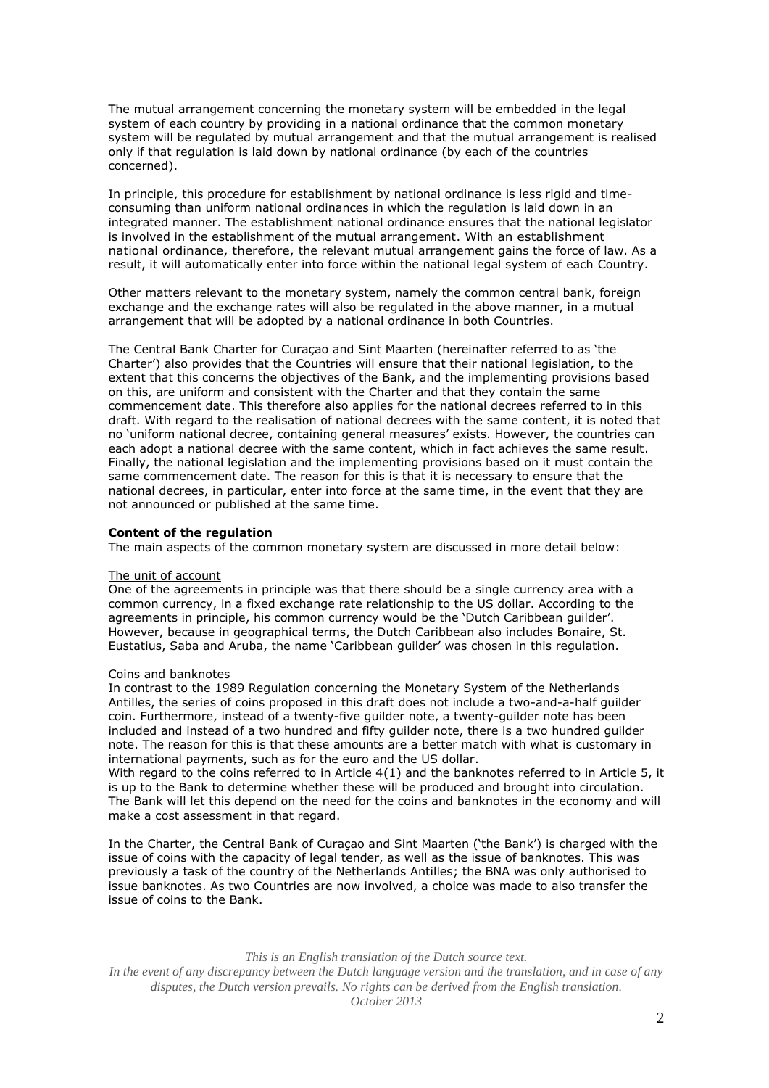The mutual arrangement concerning the monetary system will be embedded in the legal system of each country by providing in a national ordinance that the common monetary system will be regulated by mutual arrangement and that the mutual arrangement is realised only if that regulation is laid down by national ordinance (by each of the countries concerned).

In principle, this procedure for establishment by national ordinance is less rigid and timeconsuming than uniform national ordinances in which the regulation is laid down in an integrated manner. The establishment national ordinance ensures that the national legislator is involved in the establishment of the mutual arrangement. With an establishment national ordinance, therefore, the relevant mutual arrangement gains the force of law. As a result, it will automatically enter into force within the national legal system of each Country.

Other matters relevant to the monetary system, namely the common central bank, foreign exchange and the exchange rates will also be regulated in the above manner, in a mutual arrangement that will be adopted by a national ordinance in both Countries.

The Central Bank Charter for Curaçao and Sint Maarten (hereinafter referred to as 'the Charter') also provides that the Countries will ensure that their national legislation, to the extent that this concerns the objectives of the Bank, and the implementing provisions based on this, are uniform and consistent with the Charter and that they contain the same commencement date. This therefore also applies for the national decrees referred to in this draft. With regard to the realisation of national decrees with the same content, it is noted that no 'uniform national decree, containing general measures' exists. However, the countries can each adopt a national decree with the same content, which in fact achieves the same result. Finally, the national legislation and the implementing provisions based on it must contain the same commencement date. The reason for this is that it is necessary to ensure that the national decrees, in particular, enter into force at the same time, in the event that they are not announced or published at the same time.

## **Content of the regulation**

The main aspects of the common monetary system are discussed in more detail below:

### The unit of account

One of the agreements in principle was that there should be a single currency area with a common currency, in a fixed exchange rate relationship to the US dollar. According to the agreements in principle, his common currency would be the 'Dutch Caribbean guilder'. However, because in geographical terms, the Dutch Caribbean also includes Bonaire, St. Eustatius, Saba and Aruba, the name 'Caribbean guilder' was chosen in this regulation.

### Coins and banknotes

In contrast to the 1989 Regulation concerning the Monetary System of the Netherlands Antilles, the series of coins proposed in this draft does not include a two-and-a-half guilder coin. Furthermore, instead of a twenty-five guilder note, a twenty-guilder note has been included and instead of a two hundred and fifty guilder note, there is a two hundred guilder note. The reason for this is that these amounts are a better match with what is customary in international payments, such as for the euro and the US dollar.

With regard to the coins referred to in Article 4(1) and the banknotes referred to in Article 5, it is up to the Bank to determine whether these will be produced and brought into circulation. The Bank will let this depend on the need for the coins and banknotes in the economy and will make a cost assessment in that regard.

In the Charter, the Central Bank of Curaçao and Sint Maarten ('the Bank') is charged with the issue of coins with the capacity of legal tender, as well as the issue of banknotes. This was previously a task of the country of the Netherlands Antilles; the BNA was only authorised to issue banknotes. As two Countries are now involved, a choice was made to also transfer the issue of coins to the Bank.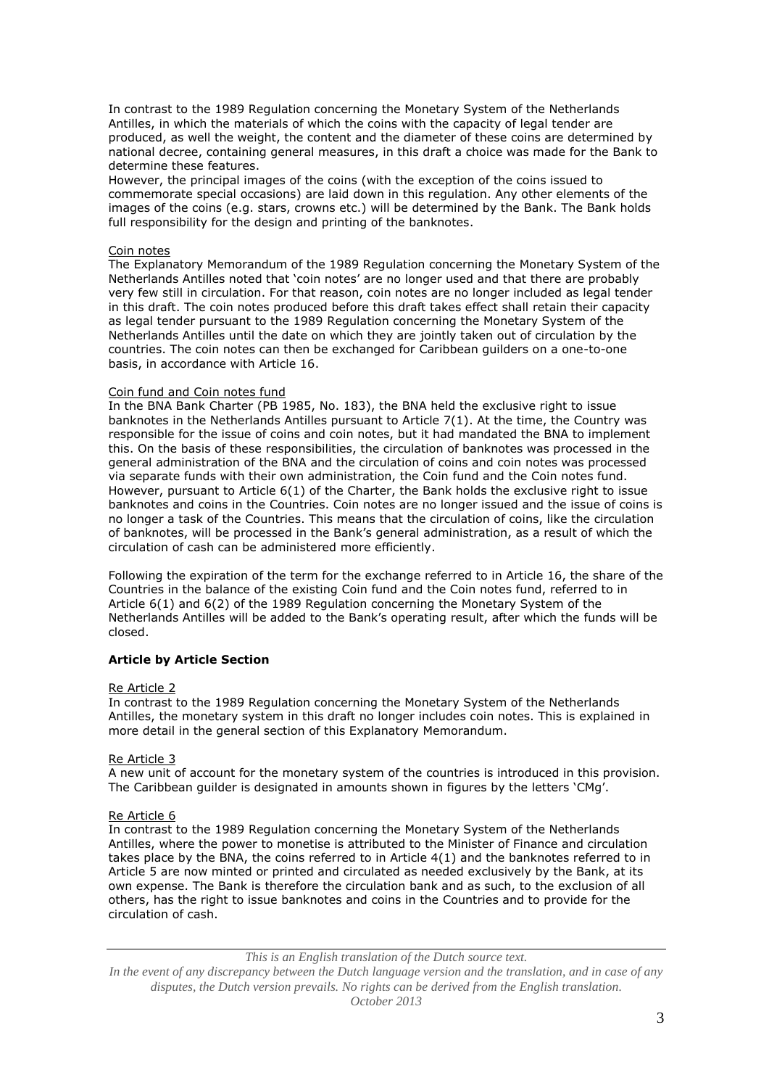In contrast to the 1989 Regulation concerning the Monetary System of the Netherlands Antilles, in which the materials of which the coins with the capacity of legal tender are produced, as well the weight, the content and the diameter of these coins are determined by national decree, containing general measures, in this draft a choice was made for the Bank to determine these features.

However, the principal images of the coins (with the exception of the coins issued to commemorate special occasions) are laid down in this regulation. Any other elements of the images of the coins (e.g. stars, crowns etc.) will be determined by the Bank. The Bank holds full responsibility for the design and printing of the banknotes.

### Coin notes

The Explanatory Memorandum of the 1989 Regulation concerning the Monetary System of the Netherlands Antilles noted that 'coin notes' are no longer used and that there are probably very few still in circulation. For that reason, coin notes are no longer included as legal tender in this draft. The coin notes produced before this draft takes effect shall retain their capacity as legal tender pursuant to the 1989 Regulation concerning the Monetary System of the Netherlands Antilles until the date on which they are jointly taken out of circulation by the countries. The coin notes can then be exchanged for Caribbean guilders on a one-to-one basis, in accordance with Article 16.

#### Coin fund and Coin notes fund

In the BNA Bank Charter (PB 1985, No. 183), the BNA held the exclusive right to issue banknotes in the Netherlands Antilles pursuant to Article 7(1). At the time, the Country was responsible for the issue of coins and coin notes, but it had mandated the BNA to implement this. On the basis of these responsibilities, the circulation of banknotes was processed in the general administration of the BNA and the circulation of coins and coin notes was processed via separate funds with their own administration, the Coin fund and the Coin notes fund. However, pursuant to Article 6(1) of the Charter, the Bank holds the exclusive right to issue banknotes and coins in the Countries. Coin notes are no longer issued and the issue of coins is no longer a task of the Countries. This means that the circulation of coins, like the circulation of banknotes, will be processed in the Bank's general administration, as a result of which the circulation of cash can be administered more efficiently.

Following the expiration of the term for the exchange referred to in Article 16, the share of the Countries in the balance of the existing Coin fund and the Coin notes fund, referred to in Article 6(1) and 6(2) of the 1989 Regulation concerning the Monetary System of the Netherlands Antilles will be added to the Bank's operating result, after which the funds will be closed.

### **Article by Article Section**

#### Re Article 2

In contrast to the 1989 Regulation concerning the Monetary System of the Netherlands Antilles, the monetary system in this draft no longer includes coin notes. This is explained in more detail in the general section of this Explanatory Memorandum.

#### Re Article 3

A new unit of account for the monetary system of the countries is introduced in this provision. The Caribbean guilder is designated in amounts shown in figures by the letters 'CMg'.

#### Re Article 6

In contrast to the 1989 Regulation concerning the Monetary System of the Netherlands Antilles, where the power to monetise is attributed to the Minister of Finance and circulation takes place by the BNA, the coins referred to in Article 4(1) and the banknotes referred to in Article 5 are now minted or printed and circulated as needed exclusively by the Bank, at its own expense. The Bank is therefore the circulation bank and as such, to the exclusion of all others, has the right to issue banknotes and coins in the Countries and to provide for the circulation of cash.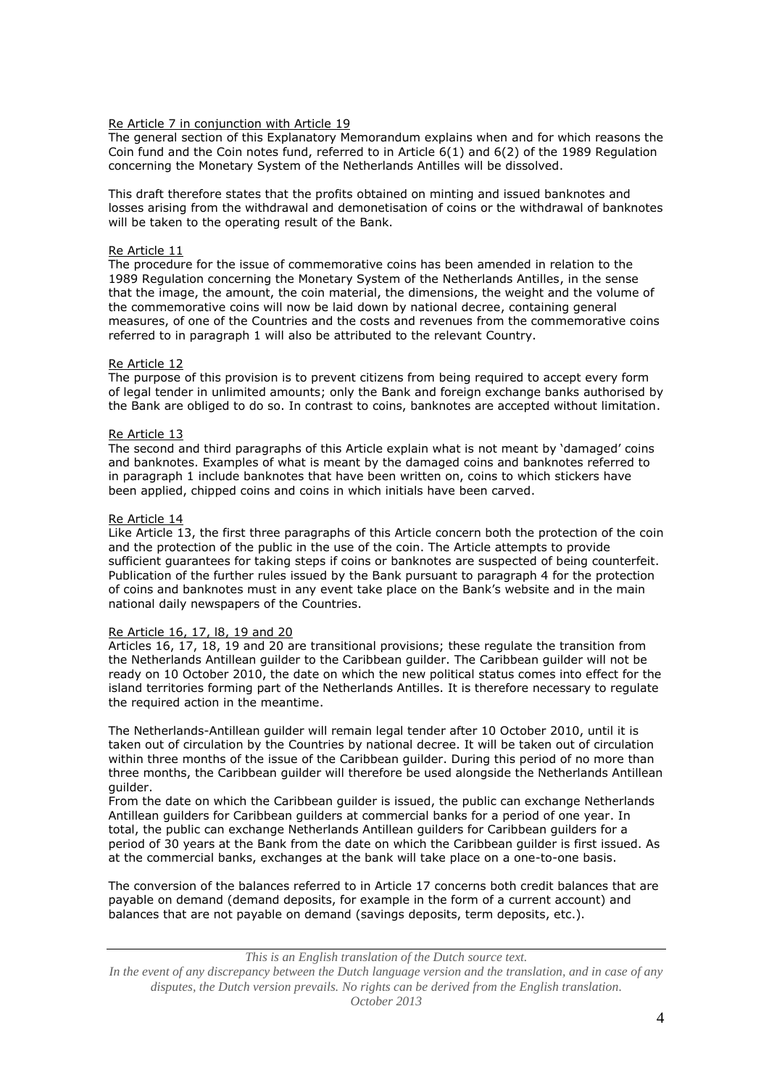# Re Article 7 in conjunction with Article 19

The general section of this Explanatory Memorandum explains when and for which reasons the Coin fund and the Coin notes fund, referred to in Article 6(1) and 6(2) of the 1989 Regulation concerning the Monetary System of the Netherlands Antilles will be dissolved.

This draft therefore states that the profits obtained on minting and issued banknotes and losses arising from the withdrawal and demonetisation of coins or the withdrawal of banknotes will be taken to the operating result of the Bank.

# Re Article 11

The procedure for the issue of commemorative coins has been amended in relation to the 1989 Regulation concerning the Monetary System of the Netherlands Antilles, in the sense that the image, the amount, the coin material, the dimensions, the weight and the volume of the commemorative coins will now be laid down by national decree, containing general measures, of one of the Countries and the costs and revenues from the commemorative coins referred to in paragraph 1 will also be attributed to the relevant Country.

## Re Article 12

The purpose of this provision is to prevent citizens from being required to accept every form of legal tender in unlimited amounts; only the Bank and foreign exchange banks authorised by the Bank are obliged to do so. In contrast to coins, banknotes are accepted without limitation.

# Re Article 13

The second and third paragraphs of this Article explain what is not meant by 'damaged' coins and banknotes. Examples of what is meant by the damaged coins and banknotes referred to in paragraph 1 include banknotes that have been written on, coins to which stickers have been applied, chipped coins and coins in which initials have been carved.

## Re Article 14

Like Article 13, the first three paragraphs of this Article concern both the protection of the coin and the protection of the public in the use of the coin. The Article attempts to provide sufficient guarantees for taking steps if coins or banknotes are suspected of being counterfeit. Publication of the further rules issued by the Bank pursuant to paragraph 4 for the protection of coins and banknotes must in any event take place on the Bank's website and in the main national daily newspapers of the Countries.

### Re Article 16, 17, l8, 19 and 20

Articles 16, 17, 18, 19 and 20 are transitional provisions; these regulate the transition from the Netherlands Antillean guilder to the Caribbean guilder. The Caribbean guilder will not be ready on 10 October 2010, the date on which the new political status comes into effect for the island territories forming part of the Netherlands Antilles. It is therefore necessary to regulate the required action in the meantime.

The Netherlands-Antillean guilder will remain legal tender after 10 October 2010, until it is taken out of circulation by the Countries by national decree. It will be taken out of circulation within three months of the issue of the Caribbean guilder. During this period of no more than three months, the Caribbean guilder will therefore be used alongside the Netherlands Antillean guilder.

From the date on which the Caribbean guilder is issued, the public can exchange Netherlands Antillean guilders for Caribbean guilders at commercial banks for a period of one year. In total, the public can exchange Netherlands Antillean guilders for Caribbean guilders for a period of 30 years at the Bank from the date on which the Caribbean guilder is first issued. As at the commercial banks, exchanges at the bank will take place on a one-to-one basis.

The conversion of the balances referred to in Article 17 concerns both credit balances that are payable on demand (demand deposits, for example in the form of a current account) and balances that are not payable on demand (savings deposits, term deposits, etc.).